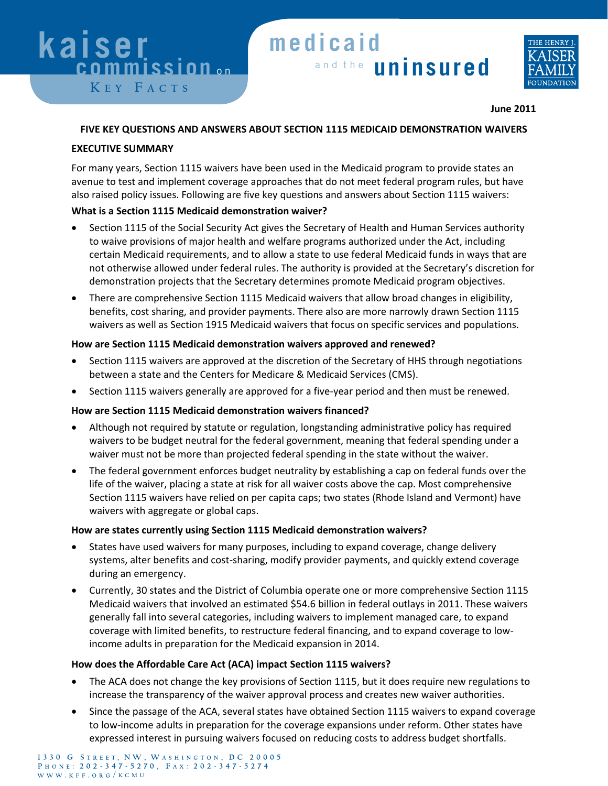# **kaiser kaiser kaiser kaiser**  *<b> commission* on KEY FACTS

# a n d t h e **uninsured** a n d t h e **uninsured** a n d t h e **uninsured** a n d t h e **uninsured medicaid medicaid medicaid me dicaid**



#### **June 2011**

#### **FIVE KEY QUESTIONS AND ANSWERS ABOUT SECTION 1115 MEDICAID DEMONSTRATION WAIVERS**

### **EXECUTIVE SUMMARY**

For many years, Section 1115 waivers have been used in the Medicaid program to provide states an avenue to test and implement coverage approaches that do not meet federal program rules, but have also raised policy issues. Following are five key questions and answers about Section 1115 waivers:

# **What is a Section 1115 Medicaid demonstration waiver?**

- Section 1115 of the Social Security Act gives the Secretary of Health and Human Services authority to waive provisions of major health and welfare programs authorized under the Act, including certain Medicaid requirements, and to allow a state to use federal Medicaid funds in ways that are not otherwise allowed under federal rules. The authority is provided at the Secretary's discretion for demonstration projects that the Secretary determines promote Medicaid program objectives.
- There are comprehensive Section 1115 Medicaid waivers that allow broad changes in eligibility, benefits, cost sharing, and provider payments. There also are more narrowly drawn Section 1115 waivers as well as Section 1915 Medicaid waivers that focus on specific services and populations.

### **How are Section 1115 Medicaid demonstration waivers approved and renewed?**

- Section 1115 waivers are approved at the discretion of the Secretary of HHS through negotiations between a state and the Centers for Medicare & Medicaid Services (CMS).
- Section 1115 waivers generally are approved for a five-year period and then must be renewed.

# **How are Section 1115 Medicaid demonstration waivers financed?**

- Although not required by statute or regulation, longstanding administrative policy has required waivers to be budget neutral for the federal government, meaning that federal spending under a waiver must not be more than projected federal spending in the state without the waiver.
- The federal government enforces budget neutrality by establishing a cap on federal funds over the life of the waiver, placing a state at risk for all waiver costs above the cap. Most comprehensive Section 1115 waivers have relied on per capita caps; two states (Rhode Island and Vermont) have waivers with aggregate or global caps.

# **How are states currently using Section 1115 Medicaid demonstration waivers?**

- States have used waivers for many purposes, including to expand coverage, change delivery systems, alter benefits and cost-sharing, modify provider payments, and quickly extend coverage during an emergency.
- Currently, 30 states and the District of Columbia operate one or more comprehensive Section 1115 Medicaid waivers that involved an estimated \$54.6 billion in federal outlays in 2011. These waivers generally fall into several categories, including waivers to implement managed care, to expand coverage with limited benefits, to restructure federal financing, and to expand coverage to lowincome adults in preparation for the Medicaid expansion in 2014.

# **How does the Affordable Care Act (ACA) impact Section 1115 waivers?**

- The ACA does not change the key provisions of Section 1115, but it does require new regulations to increase the transparency of the waiver approval process and creates new waiver authorities.
- Since the passage of the ACA, several states have obtained Section 1115 waivers to expand coverage to low-income adults in preparation for the coverage expansions under reform. Other states have expressed interest in pursuing waivers focused on reducing costs to address budget shortfalls.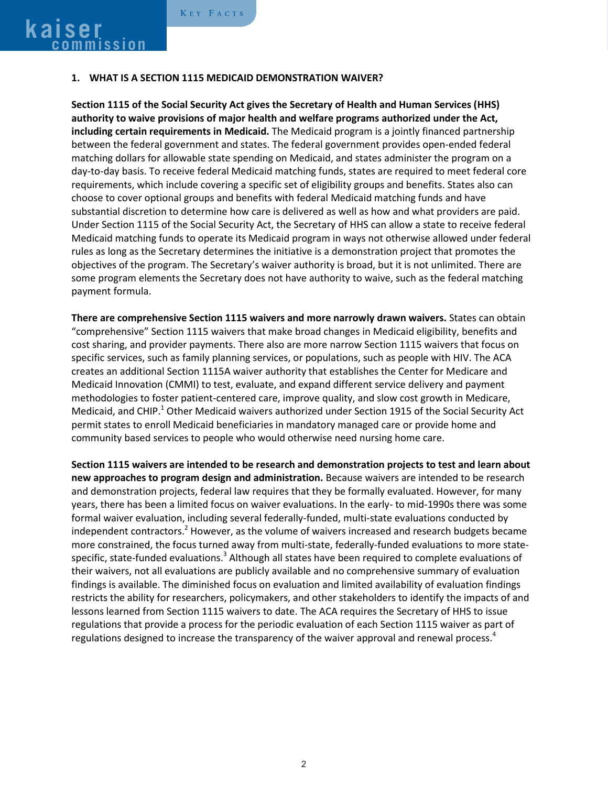#### **1. WHAT IS A SECTION 1115 MEDICAID DEMONSTRATION WAIVER?**

**Section 1115 of the Social Security Act gives the Secretary of Health and Human Services (HHS) authority to waive provisions of major health and welfare programs authorized under the Act, including certain requirements in Medicaid.** The Medicaid program is a jointly financed partnership between the federal government and states. The federal government provides open-ended federal matching dollars for allowable state spending on Medicaid, and states administer the program on a day‐to‐day basis. To receive federal Medicaid matching funds, states are required to meet federal core requirements, which include covering a specific set of eligibility groups and benefits. States also can choose to cover optional groups and benefits with federal Medicaid matching funds and have substantial discretion to determine how care is delivered as well as how and what providers are paid. Under Section 1115 of the Social Security Act, the Secretary of HHS can allow a state to receive federal Medicaid matching funds to operate its Medicaid program in ways not otherwise allowed under federal rules as long as the Secretary determines the initiative is a demonstration project that promotes the objectives of the program. The Secretary's waiver authority is broad, but it is not unlimited. There are some program elements the Secretary does not have authority to waive, such as the federal matching payment formula.

**There are comprehensive Section 1115 waivers and more narrowly drawn waivers.** States can obtain "comprehensive" Section 1115 waivers that make broad changes in Medicaid eligibility, benefits and cost sharing, and provider payments. There also are more narrow Section 1115 waivers that focus on specific services, such as family planning services, or populations, such as people with HIV. The ACA creates an additional Section 1115A waiver authority that establishes the Center for Medicare and Medicaid Innovation (CMMI) to test, evaluate, and expand different service delivery and payment methodologies to foster patient-centered care, improve quality, and slow cost growth in Medicare, Medicaid, and CHIP.<sup>1</sup> Other Medicaid waivers authorized under Section 1915 of the Social Security Act permit states to enroll Medicaid beneficiaries in mandatory managed care or provide home and community based services to people who would otherwise need nursing home care.

**Section 1115 waivers are intended to be research and demonstration projects to test and learn about new approaches to program design and administration.** Because waivers are intended to be research and demonstration projects, federal law requires that they be formally evaluated. However, for many years, there has been a limited focus on waiver evaluations. In the early- to mid-1990s there was some formal waiver evaluation, including several federally-funded, multi-state evaluations conducted by independent contractors.<sup>2</sup> However, as the volume of waivers increased and research budgets became more constrained, the focus turned away from multi-state, federally-funded evaluations to more statespecific, state-funded evaluations.<sup>3</sup> Although all states have been required to complete evaluations of their waivers, not all evaluations are publicly available and no comprehensive summary of evaluation findings is available. The diminished focus on evaluation and limited availability of evaluation findings restricts the ability for researchers, policymakers, and other stakeholders to identify the impacts of and lessons learned from Section 1115 waivers to date. The ACA requires the Secretary of HHS to issue regulations that provide a process for the periodic evaluation of each Section 1115 waiver as part of regulations designed to increase the transparency of the waiver approval and renewal process.<sup>4</sup>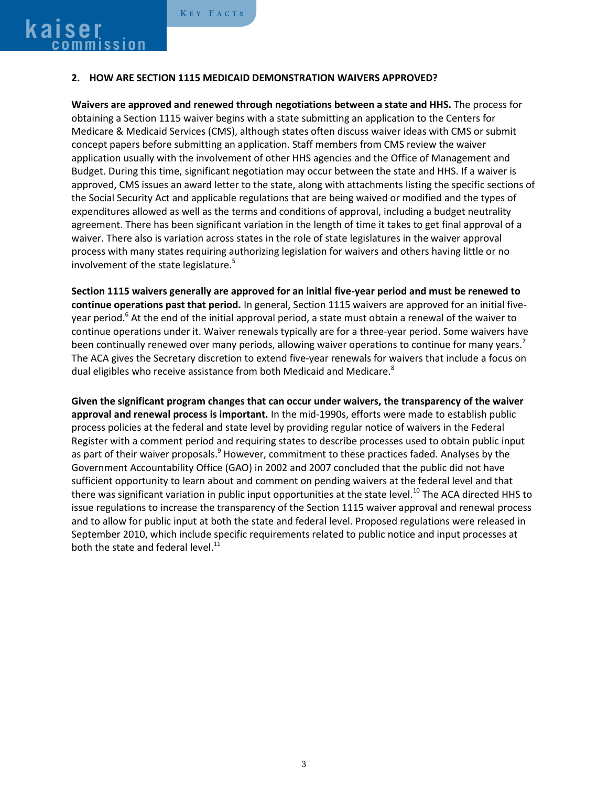#### **2. HOW ARE SECTION 1115 MEDICAID DEMONSTRATION WAIVERS APPROVED?**

**Waivers are approved and renewed through negotiations between a state and HHS.** The process for obtaining a Section 1115 waiver begins with a state submitting an application to the Centers for Medicare & Medicaid Services (CMS), although states often discuss waiver ideas with CMS or submit concept papers before submitting an application. Staff members from CMS review the waiver application usually with the involvement of other HHS agencies and the Office of Management and Budget. During this time, significant negotiation may occur between the state and HHS. If a waiver is approved, CMS issues an award letter to the state, along with attachments listing the specific sections of the Social Security Act and applicable regulations that are being waived or modified and the types of expenditures allowed as well as the terms and conditions of approval, including a budget neutrality agreement. There has been significant variation in the length of time it takes to get final approval of a waiver. There also is variation across states in the role of state legislatures in the waiver approval process with many states requiring authorizing legislation for waivers and others having little or no involvement of the state legislature. 5

**Section 1115 waivers generally are approved for an initial five-year period and must be renewed to continue operations past that period.** In general, Section 1115 waivers are approved for an initial fiveyear period.<sup>6</sup> At the end of the initial approval period, a state must obtain a renewal of the waiver to continue operations under it. Waiver renewals typically are for a three-year period. Some waivers have been continually renewed over many periods, allowing waiver operations to continue for many years.<sup>7</sup> The ACA gives the Secretary discretion to extend five-year renewals for waivers that include a focus on dual eligibles who receive assistance from both Medicaid and Medicare.<sup>8</sup>

**Given the significant program changes that can occur under waivers, the transparency of the waiver approval and renewal process is important.** In the mid-1990s, efforts were made to establish public process policies at the federal and state level by providing regular notice of waivers in the Federal Register with a comment period and requiring states to describe processes used to obtain public input as part of their waiver proposals.<sup>9</sup> However, commitment to these practices faded. Analyses by the Government Accountability Office (GAO) in 2002 and 2007 concluded that the public did not have sufficient opportunity to learn about and comment on pending waivers at the federal level and that there was significant variation in public input opportunities at the state level.<sup>10</sup> The ACA directed HHS to issue regulations to increase the transparency of the Section 1115 waiver approval and renewal process and to allow for public input at both the state and federal level. Proposed regulations were released in September 2010, which include specific requirements related to public notice and input processes at both the state and federal level. $^{11}$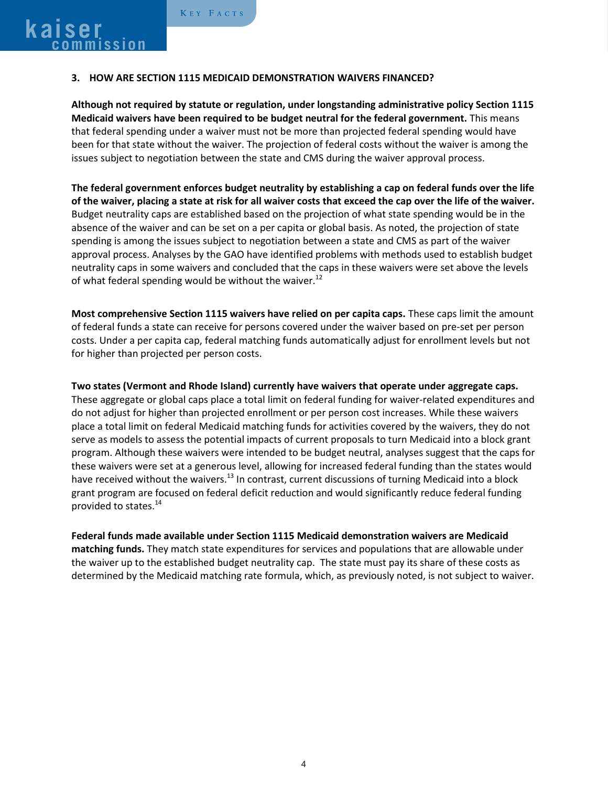#### **3. HOW ARE SECTION 1115 MEDICAID DEMONSTRATION WAIVERS FINANCED?**

**Although not required by statute or regulation, under longstanding administrative policy Section 1115 Medicaid waivers have been required to be budget neutral for the federal government.** This means that federal spending under a waiver must not be more than projected federal spending would have been for that state without the waiver. The projection of federal costs without the waiver is among the issues subject to negotiation between the state and CMS during the waiver approval process.

**The federal government enforces budget neutrality by establishing a cap on federal funds over the life of the waiver, placing a state at risk for all waiver costs that exceed the cap over the life of the waiver.** Budget neutrality caps are established based on the projection of what state spending would be in the absence of the waiver and can be set on a per capita or global basis. As noted, the projection of state spending is among the issues subject to negotiation between a state and CMS as part of the waiver approval process. Analyses by the GAO have identified problems with methods used to establish budget neutrality caps in some waivers and concluded that the caps in these waivers were set above the levels of what federal spending would be without the waiver.<sup>12</sup>

**Most comprehensive Section 1115 waivers have relied on per capita caps.** These caps limit the amount of federal funds a state can receive for persons covered under the waiver based on pre-set per person costs. Under a per capita cap, federal matching funds automatically adjust for enrollment levels but not for higher than projected per person costs.

**Two states (Vermont and Rhode Island) currently have waivers that operate under aggregate caps.**  These aggregate or global caps place a total limit on federal funding for waiver-related expenditures and do not adjust for higher than projected enrollment or per person cost increases. While these waivers place a total limit on federal Medicaid matching funds for activities covered by the waivers, they do not serve as models to assess the potential impacts of current proposals to turn Medicaid into a block grant program. Although these waivers were intended to be budget neutral, analyses suggest that the caps for these waivers were set at a generous level, allowing for increased federal funding than the states would have received without the waivers.<sup>13</sup> In contrast, current discussions of turning Medicaid into a block grant program are focused on federal deficit reduction and would significantly reduce federal funding provided to states.<sup>14</sup>

**Federal funds made available under Section 1115 Medicaid demonstration waivers are Medicaid matching funds.** They match state expenditures for services and populations that are allowable under the waiver up to the established budget neutrality cap. The state must pay its share of these costs as determined by the Medicaid matching rate formula, which, as previously noted, is not subject to waiver.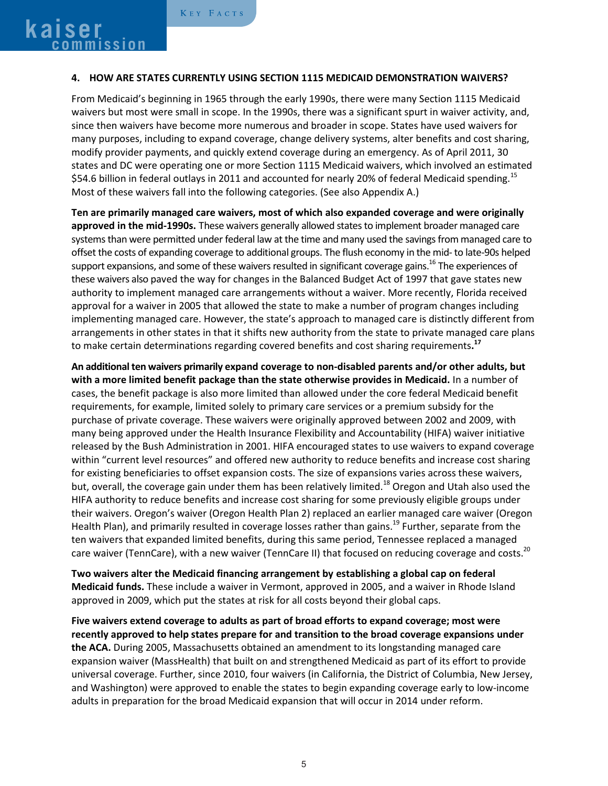#### **4. HOW ARE STATES CURRENTLY USING SECTION 1115 MEDICAID DEMONSTRATION WAIVERS?**

From Medicaid's beginning in 1965 through the early 1990s, there were many Section 1115 Medicaid waivers but most were small in scope. In the 1990s, there was a significant spurt in waiver activity, and, since then waivers have become more numerous and broader in scope. States have used waivers for many purposes, including to expand coverage, change delivery systems, alter benefits and cost sharing, modify provider payments, and quickly extend coverage during an emergency. As of April 2011, 30 states and DC were operating one or more Section 1115 Medicaid waivers, which involved an estimated \$54.6 billion in federal outlays in 2011 and accounted for nearly 20% of federal Medicaid spending.<sup>15</sup> Most of these waivers fall into the following categories. (See also Appendix A.)

**Ten are primarily managed care waivers, most of which also expanded coverage and were originally approved in the mid-1990s.** These waivers generally allowed states to implement broader managed care systems than were permitted under federal law at the time and many used the savings from managed care to offset the costs of expanding coverage to additional groups. The flush economy in the mid- to late-90s helped support expansions, and some of these waivers resulted in significant coverage gains.<sup>16</sup> The experiences of these waivers also paved the way for changes in the Balanced Budget Act of 1997 that gave states new authority to implement managed care arrangements without a waiver. More recently, Florida received approval for a waiver in 2005 that allowed the state to make a number of program changes including implementing managed care. However, the state's approach to managed care is distinctly different from arrangements in other states in that it shifts new authority from the state to private managed care plans to make certain determinations regarding covered benefits and cost sharing requirements**. 17**

**An additional ten waivers primarily expand coverage to non-disabled parents and/or other adults, but with a more limited benefit package than the state otherwise provides in Medicaid.** In a number of cases, the benefit package is also more limited than allowed under the core federal Medicaid benefit requirements, for example, limited solely to primary care services or a premium subsidy for the purchase of private coverage. These waivers were originally approved between 2002 and 2009, with many being approved under the Health Insurance Flexibility and Accountability (HIFA) waiver initiative released by the Bush Administration in 2001. HIFA encouraged states to use waivers to expand coverage within "current level resources" and offered new authority to reduce benefits and increase cost sharing for existing beneficiaries to offset expansion costs. The size of expansions varies across these waivers, but, overall, the coverage gain under them has been relatively limited.<sup>18</sup> Oregon and Utah also used the HIFA authority to reduce benefits and increase cost sharing for some previously eligible groups under their waivers. Oregon's waiver (Oregon Health Plan 2) replaced an earlier managed care waiver (Oregon Health Plan), and primarily resulted in coverage losses rather than gains.<sup>19</sup> Further, separate from the ten waivers that expanded limited benefits, during this same period, Tennessee replaced a managed care waiver (TennCare), with a new waiver (TennCare II) that focused on reducing coverage and costs.<sup>20</sup>

**Two waivers alter the Medicaid financing arrangement by establishing a global cap on federal Medicaid funds.** These include a waiver in Vermont, approved in 2005, and a waiver in Rhode Island approved in 2009, which put the states at risk for all costs beyond their global caps.

**Five waivers extend coverage to adults as part of broad efforts to expand coverage; most were recently approved to help states prepare for and transition to the broad coverage expansions under the ACA.** During 2005, Massachusetts obtained an amendment to its longstanding managed care expansion waiver (MassHealth) that built on and strengthened Medicaid as part of its effort to provide universal coverage. Further, since 2010, four waivers (in California, the District of Columbia, New Jersey, and Washington) were approved to enable the states to begin expanding coverage early to low-income adults in preparation for the broad Medicaid expansion that will occur in 2014 under reform.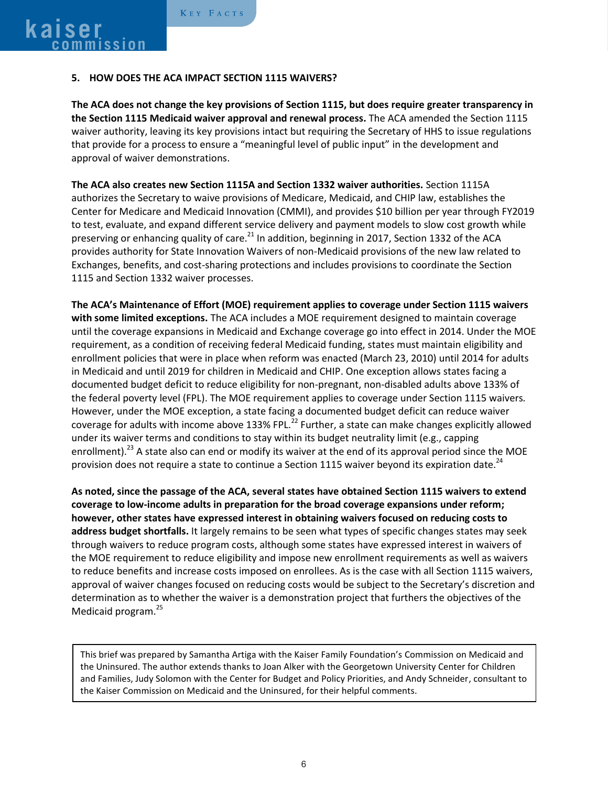#### **5. HOW DOES THE ACA IMPACT SECTION 1115 WAIVERS?**

**The ACA does not change the key provisions of Section 1115, but does require greater transparency in the Section 1115 Medicaid waiver approval and renewal process.** The ACA amended the Section 1115 waiver authority, leaving its key provisions intact but requiring the Secretary of HHS to issue regulations that provide for a process to ensure a "meaningful level of public input" in the development and approval of waiver demonstrations.

**The ACA also creates new Section 1115A and Section 1332 waiver authorities.** Section 1115A authorizes the Secretary to waive provisions of Medicare, Medicaid, and CHIP law, establishes the Center for Medicare and Medicaid Innovation (CMMI), and provides \$10 billion per year through FY2019 to test, evaluate, and expand different service delivery and payment models to slow cost growth while preserving or enhancing quality of care.<sup>21</sup> In addition, beginning in 2017, Section 1332 of the ACA provides authority for State Innovation Waivers of non-Medicaid provisions of the new law related to Exchanges, benefits, and cost-sharing protections and includes provisions to coordinate the Section 1115 and Section 1332 waiver processes.

**The ACA's Maintenance of Effort (MOE) requirement applies to coverage under Section 1115 waivers with some limited exceptions.** The ACA includes a MOE requirement designed to maintain coverage until the coverage expansions in Medicaid and Exchange coverage go into effect in 2014. Under the MOE requirement, as a condition of receiving federal Medicaid funding, states must maintain eligibility and enrollment policies that were in place when reform was enacted (March 23, 2010) until 2014 for adults in Medicaid and until 2019 for children in Medicaid and CHIP. One exception allows states facing a documented budget deficit to reduce eligibility for non-pregnant, non-disabled adults above 133% of the federal poverty level (FPL). The MOE requirement applies to coverage under Section 1115 waivers*.* However, under the MOE exception, a state facing a documented budget deficit can reduce waiver coverage for adults with income above 133% FPL.<sup>22</sup> Further, a state can make changes explicitly allowed under its waiver terms and conditions to stay within its budget neutrality limit (e.g., capping enrollment).<sup>23</sup> A state also can end or modify its waiver at the end of its approval period since the MOE provision does not require a state to continue a Section 1115 waiver beyond its expiration date.<sup>24</sup>

**As noted, since the passage of the ACA, several states have obtained Section 1115 waivers to extend coverage to low-income adults in preparation for the broad coverage expansions under reform; however, other states have expressed interest in obtaining waivers focused on reducing costs to address budget shortfalls.** It largely remains to be seen what types of specific changes states may seek through waivers to reduce program costs, although some states have expressed interest in waivers of the MOE requirement to reduce eligibility and impose new enrollment requirements as well as waivers to reduce benefits and increase costs imposed on enrollees. As is the case with all Section 1115 waivers, approval of waiver changes focused on reducing costs would be subject to the Secretary's discretion and determination as to whether the waiver is a demonstration project that furthers the objectives of the Medicaid program. 25

This brief was prepared by Samantha Artiga with the Kaiser Family Foundation's Commission on Medicaid and the Uninsured. The author extends thanks to Joan Alker with the Georgetown University Center for Children and Families, Judy Solomon with the Center for Budget and Policy Priorities, and Andy Schneider, consultant to the Kaiser Commission on Medicaid and the Uninsured, for their helpful comments.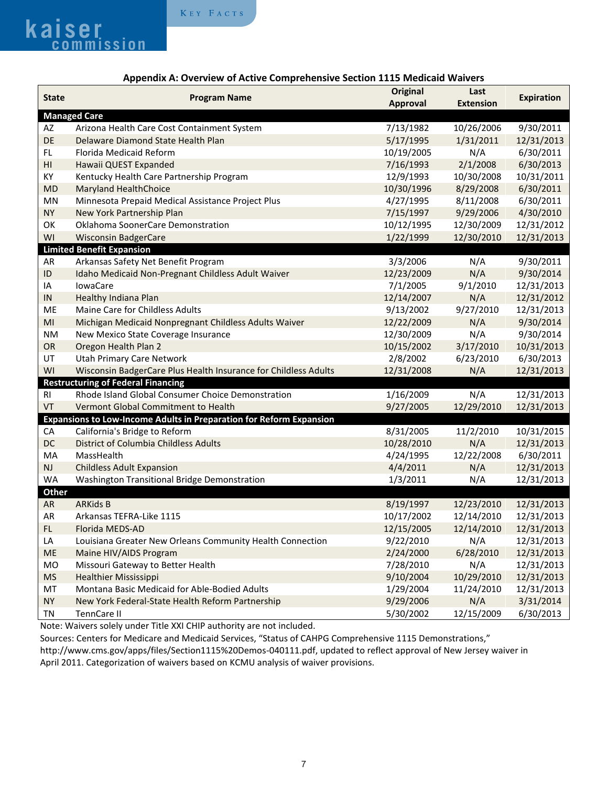

|                                                                            | . Chicholy C Scotion, 1115 incontain 176<br>Original<br>Last    |                 |                  |                   |
|----------------------------------------------------------------------------|-----------------------------------------------------------------|-----------------|------------------|-------------------|
| <b>State</b>                                                               | <b>Program Name</b>                                             | <b>Approval</b> | <b>Extension</b> | <b>Expiration</b> |
|                                                                            | <b>Managed Care</b>                                             |                 |                  |                   |
| AZ                                                                         | Arizona Health Care Cost Containment System                     | 7/13/1982       | 10/26/2006       | 9/30/2011         |
| DE                                                                         | Delaware Diamond State Health Plan                              | 5/17/1995       | 1/31/2011        | 12/31/2013        |
| FL.                                                                        | Florida Medicaid Reform                                         | 10/19/2005      | N/A              | 6/30/2011         |
| H1                                                                         | Hawaii QUEST Expanded                                           | 7/16/1993       | 2/1/2008         | 6/30/2013         |
| КY                                                                         | Kentucky Health Care Partnership Program                        | 12/9/1993       | 10/30/2008       | 10/31/2011        |
| <b>MD</b>                                                                  | Maryland HealthChoice                                           | 10/30/1996      | 8/29/2008        | 6/30/2011         |
| MN                                                                         | Minnesota Prepaid Medical Assistance Project Plus               | 4/27/1995       | 8/11/2008        | 6/30/2011         |
| <b>NY</b>                                                                  | New York Partnership Plan                                       | 7/15/1997       | 9/29/2006        | 4/30/2010         |
| OK                                                                         | Oklahoma SoonerCare Demonstration                               | 10/12/1995      | 12/30/2009       | 12/31/2012        |
| WI                                                                         | <b>Wisconsin BadgerCare</b>                                     | 1/22/1999       | 12/30/2010       | 12/31/2013        |
| <b>Limited Benefit Expansion</b>                                           |                                                                 |                 |                  |                   |
| AR                                                                         | Arkansas Safety Net Benefit Program                             | 3/3/2006        | N/A              | 9/30/2011         |
| $\sf ID$                                                                   | Idaho Medicaid Non-Pregnant Childless Adult Waiver              | 12/23/2009      | N/A              | 9/30/2014         |
| IA                                                                         | <b>lowaCare</b>                                                 | 7/1/2005        | 9/1/2010         | 12/31/2013        |
| ${\sf IN}$                                                                 | Healthy Indiana Plan                                            | 12/14/2007      | N/A              | 12/31/2012        |
| ME                                                                         | Maine Care for Childless Adults                                 | 9/13/2002       | 9/27/2010        | 12/31/2013        |
| MI                                                                         | Michigan Medicaid Nonpregnant Childless Adults Waiver           | 12/22/2009      | N/A              | 9/30/2014         |
|                                                                            |                                                                 |                 |                  | 9/30/2014         |
| <b>NM</b>                                                                  | New Mexico State Coverage Insurance                             | 12/30/2009      | N/A              |                   |
| OR                                                                         | Oregon Health Plan 2                                            | 10/15/2002      | 3/17/2010        | 10/31/2013        |
| UT                                                                         | <b>Utah Primary Care Network</b>                                | 2/8/2002        | 6/23/2010        | 6/30/2013         |
| WI                                                                         | Wisconsin BadgerCare Plus Health Insurance for Childless Adults | 12/31/2008      | N/A              | 12/31/2013        |
| <b>Restructuring of Federal Financing</b>                                  |                                                                 |                 |                  |                   |
| <b>RI</b>                                                                  | Rhode Island Global Consumer Choice Demonstration               | 1/16/2009       | N/A              | 12/31/2013        |
| VT                                                                         | Vermont Global Commitment to Health                             | 9/27/2005       | 12/29/2010       | 12/31/2013        |
| <b>Expansions to Low-Income Adults in Preparation for Reform Expansion</b> |                                                                 |                 |                  |                   |
| CA                                                                         | California's Bridge to Reform                                   | 8/31/2005       | 11/2/2010        | 10/31/2015        |
| DC                                                                         | <b>District of Columbia Childless Adults</b>                    | 10/28/2010      | N/A              | 12/31/2013        |
| MA                                                                         | MassHealth                                                      | 4/24/1995       | 12/22/2008       | 6/30/2011         |
| <b>NJ</b>                                                                  | <b>Childless Adult Expansion</b>                                | 4/4/2011        | N/A              | 12/31/2013        |
| <b>WA</b>                                                                  | Washington Transitional Bridge Demonstration                    | 1/3/2011        | N/A              | 12/31/2013        |
| <b>Other</b>                                                               |                                                                 |                 |                  |                   |
| <b>AR</b>                                                                  | <b>ARKids B</b>                                                 | 8/19/1997       | 12/23/2010       | 12/31/2013        |
| AR                                                                         | Arkansas TEFRA-Like 1115                                        | 10/17/2002      | 12/14/2010       | 12/31/2013        |
| FL.                                                                        | Florida MEDS-AD                                                 | 12/15/2005      | 12/14/2010       | 12/31/2013        |
| LA                                                                         | Louisiana Greater New Orleans Community Health Connection       | 9/22/2010       | N/A              | 12/31/2013        |
| ME                                                                         | Maine HIV/AIDS Program                                          | 2/24/2000       | 6/28/2010        | 12/31/2013        |
| <b>MO</b>                                                                  | Missouri Gateway to Better Health                               | 7/28/2010       | N/A              | 12/31/2013        |
| <b>MS</b>                                                                  | <b>Healthier Mississippi</b>                                    | 9/10/2004       | 10/29/2010       | 12/31/2013        |
| MT                                                                         | Montana Basic Medicaid for Able-Bodied Adults                   | 1/29/2004       | 11/24/2010       | 12/31/2013        |
| <b>NY</b>                                                                  | New York Federal-State Health Reform Partnership                | 9/29/2006       | N/A              | 3/31/2014         |
| TN                                                                         | TennCare II                                                     | 5/30/2002       | 12/15/2009       | 6/30/2013         |

#### **Appendix A: Overview of Active Comprehensive Section 1115 Medicaid Waivers**

Note: Waivers solely under Title XXI CHIP authority are not included.

Sources: Centers for Medicare and Medicaid Services, "Status of CAHPG Comprehensive 1115 Demonstrations," http://www.cms.gov/apps/files/Section1115%20Demos-040111.pdf, updated to reflect approval of New Jersey waiver in April 2011. Categorization of waivers based on KCMU analysis of waiver provisions.